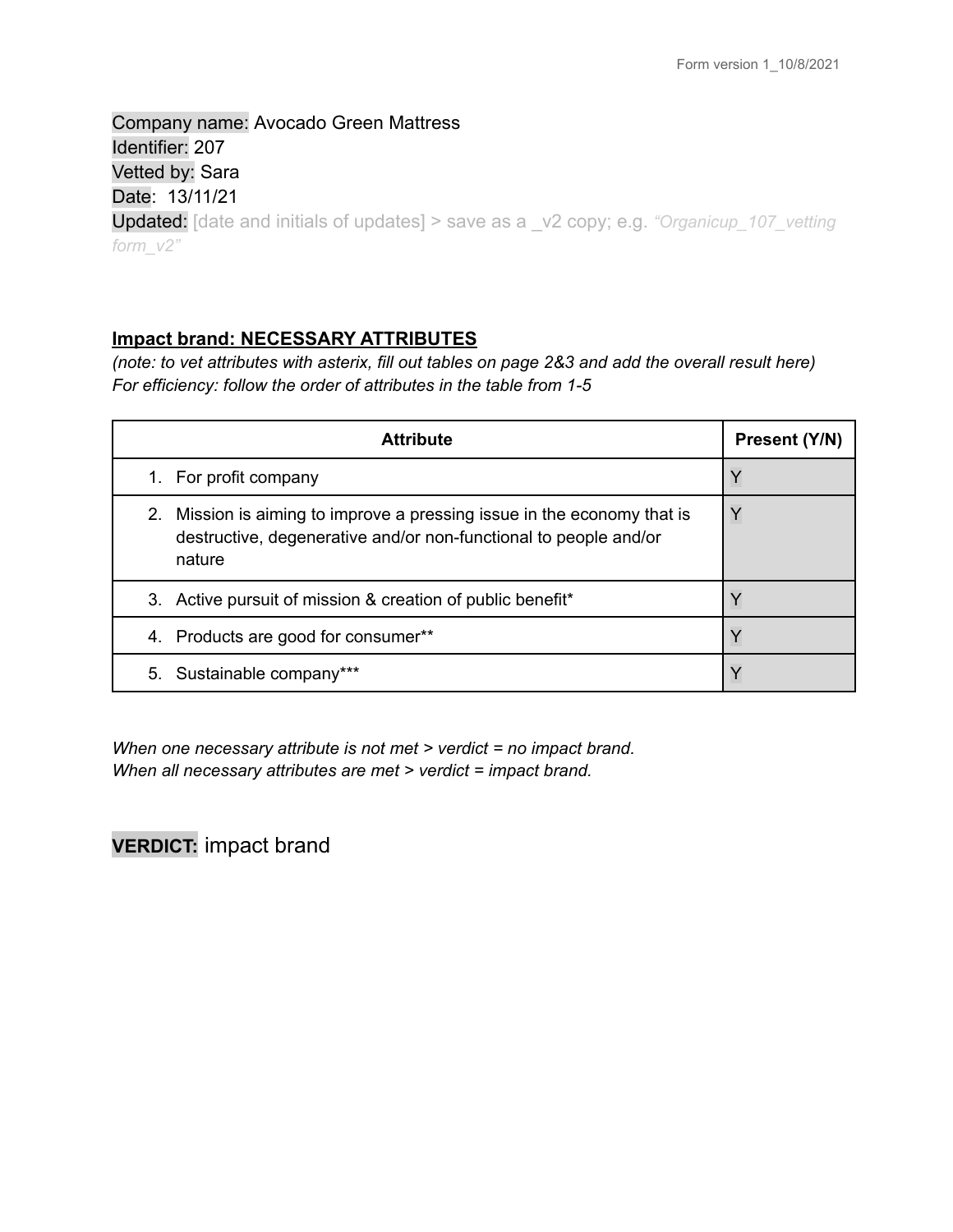Company name: Avocado Green Mattress Identifier: 207 Vetted by: Sara Date: 13/11/21 Updated: [date and initials of updates] > save as a \_v2 copy; e.g. *"Organicup\_107\_vetting form\_v2"*

### **Impact brand: NECESSARY ATTRIBUTES**

(note: to vet attributes with asterix, fill out tables on page 2&3 and add the overall result here) *For efficiency: follow the order of attributes in the table from 1-5*

| <b>Attribute</b>                                                                                                                                      | Present (Y/N) |
|-------------------------------------------------------------------------------------------------------------------------------------------------------|---------------|
| 1. For profit company                                                                                                                                 | Y             |
| 2. Mission is aiming to improve a pressing issue in the economy that is<br>destructive, degenerative and/or non-functional to people and/or<br>nature |               |
| 3. Active pursuit of mission & creation of public benefit*                                                                                            |               |
| Products are good for consumer**<br>4.                                                                                                                |               |
| 5. Sustainable company***                                                                                                                             |               |

*When one necessary attribute is not met > verdict = no impact brand. When all necessary attributes are met > verdict = impact brand.*

**VERDICT:** impact brand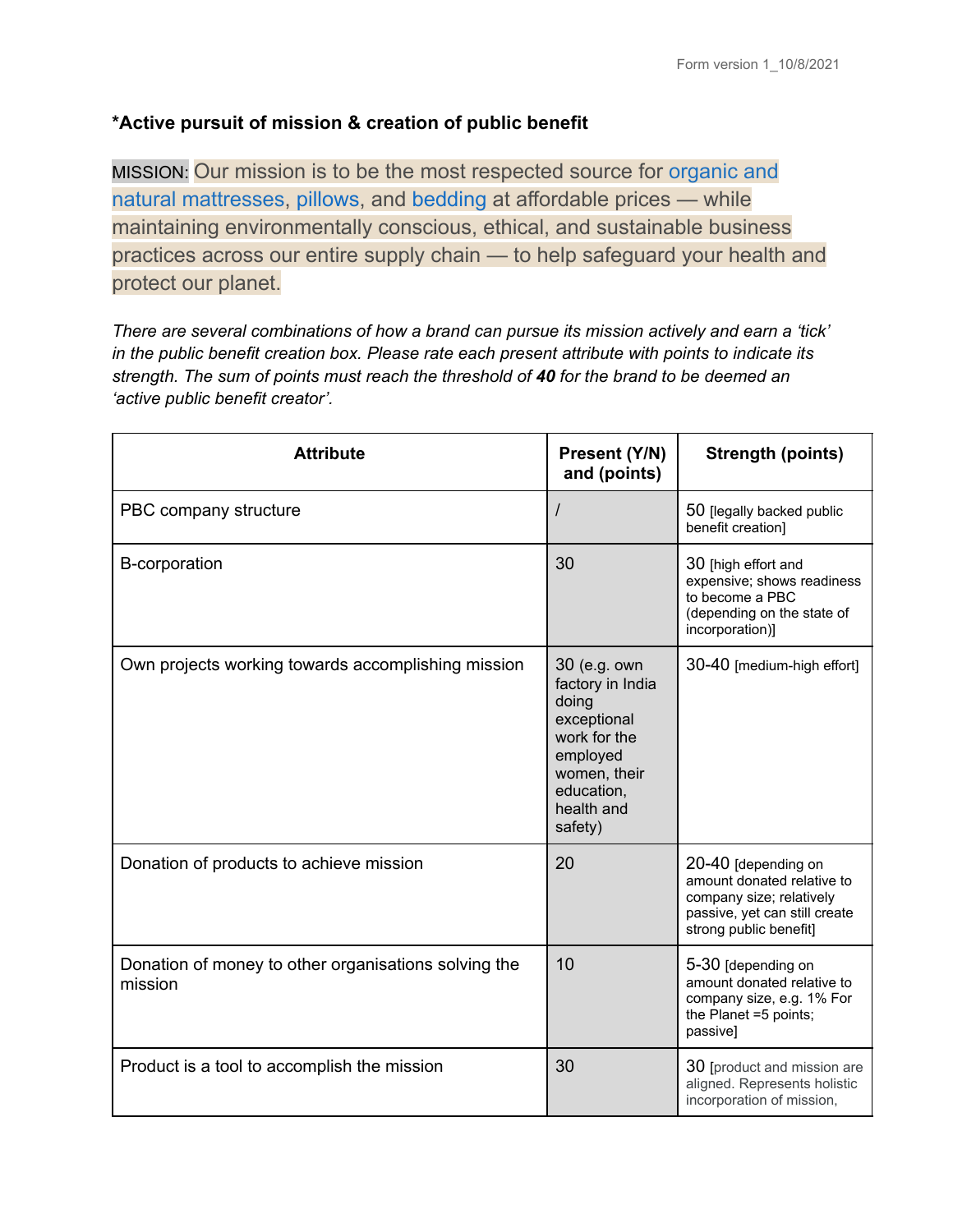# **\*Active pursuit of mission & creation of public benefit**

MISSION: Our mission is to be the most respected source for [organic and](https://www.avocadogreenmattress.com/products/green-natural-organic-mattress/) [natural mattresses](https://www.avocadogreenmattress.com/products/green-natural-organic-mattress/), [pillows](https://www.avocadogreenmattress.com/collections/pillows), and [bedding](https://www.avocadogreenmattress.com/collections/bedding) at affordable prices — while maintaining environmentally conscious, ethical, and sustainable business practices across our entire supply chain — to help safeguard your health and protect our planet.

*There are several combinations of how a brand can pursue its mission actively and earn a 'tick' in the public benefit creation box. Please rate each present attribute with points to indicate its strength. The sum of points must reach the threshold of 40 for the brand to be deemed an 'active public benefit creator'.*

| <b>Attribute</b>                                                | Present (Y/N)<br>and (points)                                                                                                               | <b>Strength (points)</b>                                                                                                                 |
|-----------------------------------------------------------------|---------------------------------------------------------------------------------------------------------------------------------------------|------------------------------------------------------------------------------------------------------------------------------------------|
| PBC company structure                                           | $\prime$                                                                                                                                    | 50 [legally backed public<br>benefit creation]                                                                                           |
| <b>B-corporation</b>                                            | 30                                                                                                                                          | 30 [high effort and<br>expensive; shows readiness<br>to become a PBC<br>(depending on the state of<br>incorporation)]                    |
| Own projects working towards accomplishing mission              | 30 (e.g. own<br>factory in India<br>doing<br>exceptional<br>work for the<br>employed<br>women, their<br>education,<br>health and<br>safety) | 30-40 [medium-high effort]                                                                                                               |
| Donation of products to achieve mission                         | 20                                                                                                                                          | 20-40 [depending on<br>amount donated relative to<br>company size; relatively<br>passive, yet can still create<br>strong public benefit] |
| Donation of money to other organisations solving the<br>mission | 10                                                                                                                                          | 5-30 [depending on<br>amount donated relative to<br>company size, e.g. 1% For<br>the Planet =5 points;<br>passive]                       |
| Product is a tool to accomplish the mission                     | 30                                                                                                                                          | 30 [product and mission are<br>aligned. Represents holistic<br>incorporation of mission,                                                 |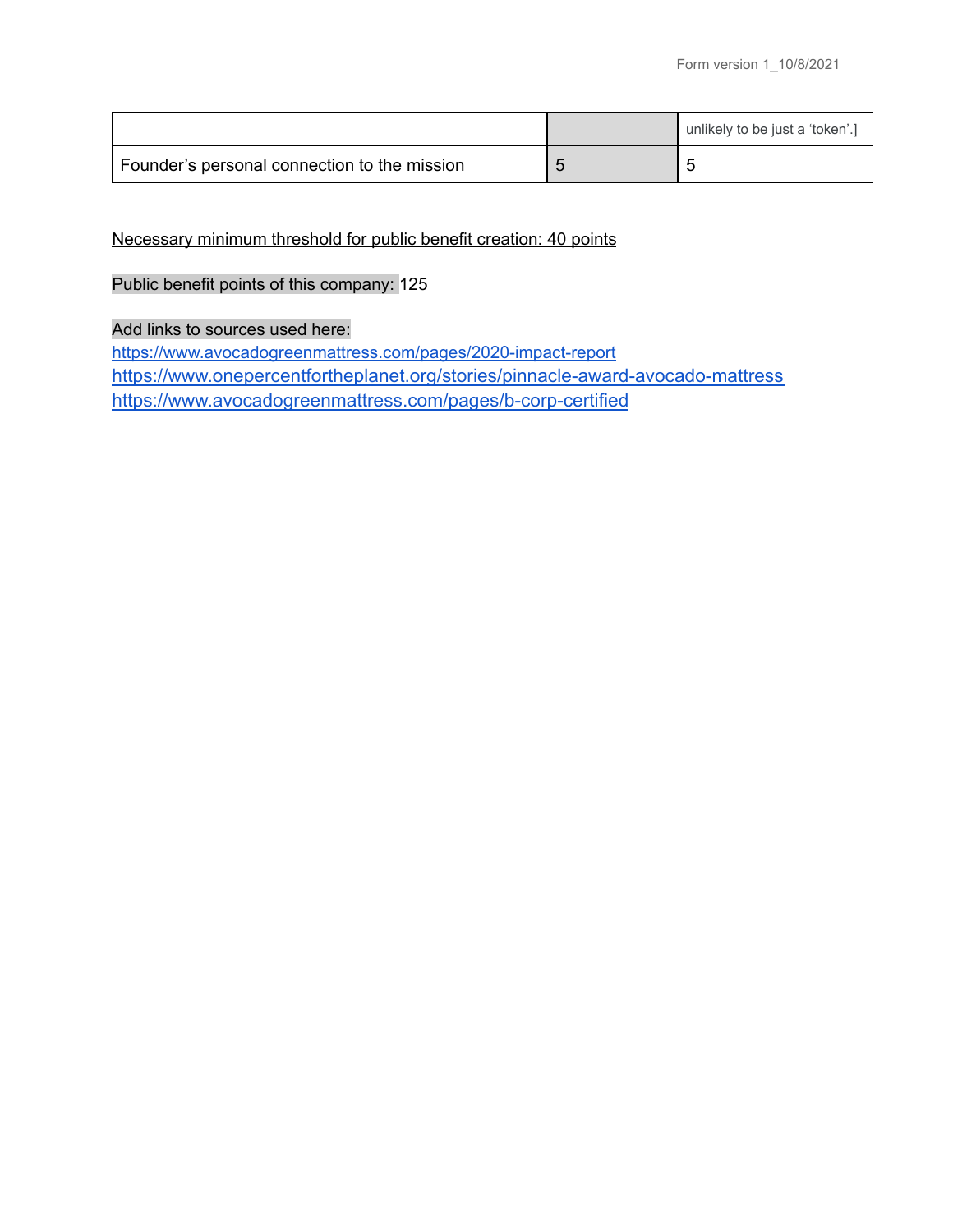|                                              | unlikely to be just a 'token'.] |
|----------------------------------------------|---------------------------------|
| Founder's personal connection to the mission |                                 |

Necessary minimum threshold for public benefit creation: 40 points

## Public benefit points of this company: 125

### Add links to sources used here:

<https://www.avocadogreenmattress.com/pages/2020-impact-report> <https://www.onepercentfortheplanet.org/stories/pinnacle-award-avocado-mattress> <https://www.avocadogreenmattress.com/pages/b-corp-certified>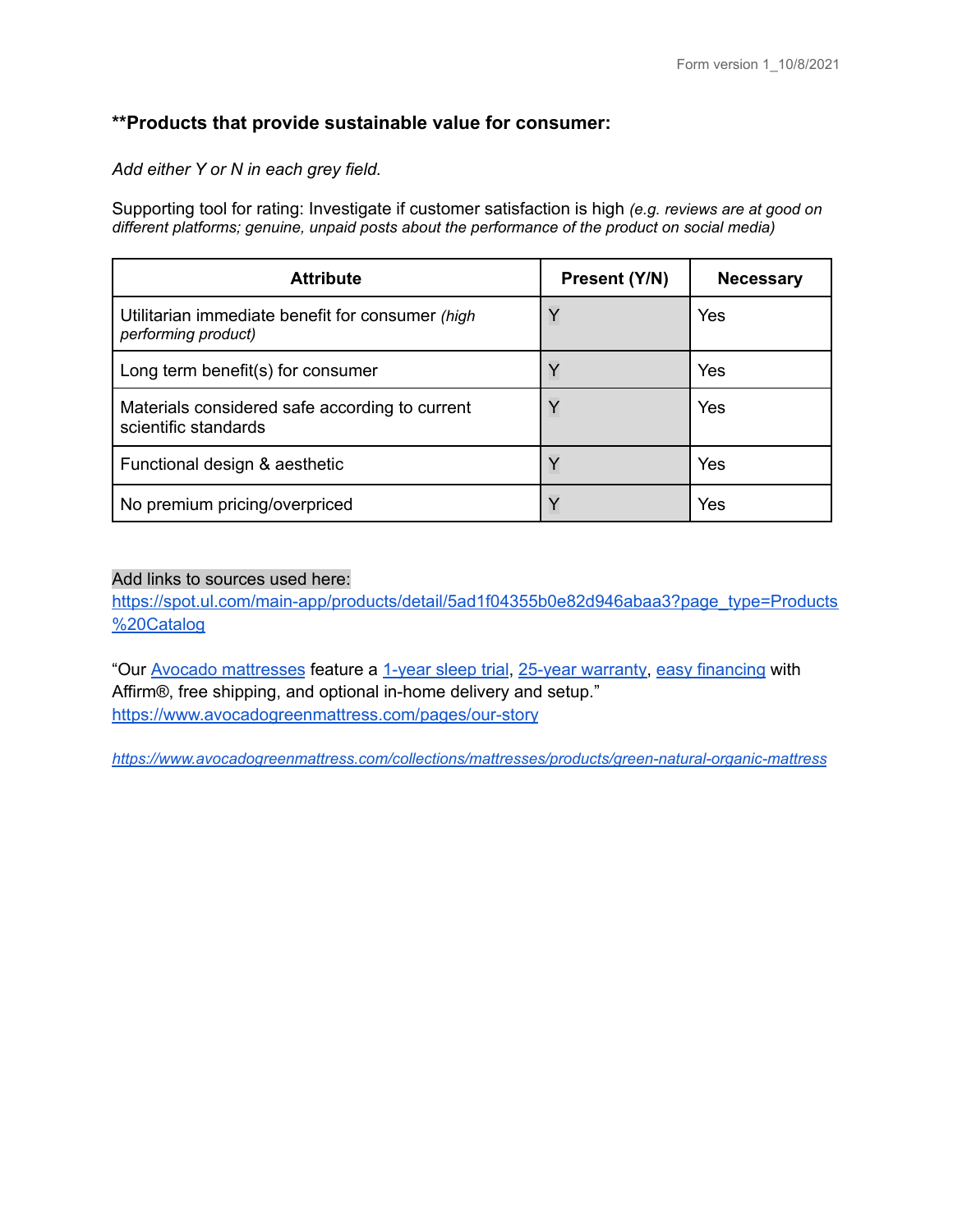### **\*\*Products that provide sustainable value for consumer:**

*Add either Y or N in each grey field.*

Supporting tool for rating: Investigate if customer satisfaction is high *(e.g. reviews are at good on different platforms; genuine, unpaid posts about the performance of the product on social media)*

| <b>Attribute</b>                                                        | Present (Y/N) | <b>Necessary</b> |
|-------------------------------------------------------------------------|---------------|------------------|
| Utilitarian immediate benefit for consumer (high<br>performing product) | Y             | Yes              |
| Long term benefit(s) for consumer                                       |               | Yes              |
| Materials considered safe according to current<br>scientific standards  | Y             | Yes              |
| Functional design & aesthetic                                           |               | Yes              |
| No premium pricing/overpriced                                           | $\vee$        | Yes              |

### Add links to sources used here:

[https://spot.ul.com/main-app/products/detail/5ad1f04355b0e82d946abaa3?page\\_type=Products](https://spot.ul.com/main-app/products/detail/5ad1f04355b0e82d946abaa3?page_type=Products%20Catalog) [%20Catalog](https://spot.ul.com/main-app/products/detail/5ad1f04355b0e82d946abaa3?page_type=Products%20Catalog)

"Our Avocado [mattresses](https://www.avocadogreenmattress.com/collections/mattresses) feature a [1-year](https://www.avocadogreenmattress.com/pages/sleep-trial/) sleep trial, 25-year [warranty,](https://www.avocadogreenmattress.com/pages/warranty) easy [financing](https://www.avocadogreenmattress.com/pages/affirm-financing/) with Affirm®, free shipping, and optional in-home delivery and setup." <https://www.avocadogreenmattress.com/pages/our-story>

*<https://www.avocadogreenmattress.com/collections/mattresses/products/green-natural-organic-mattress>*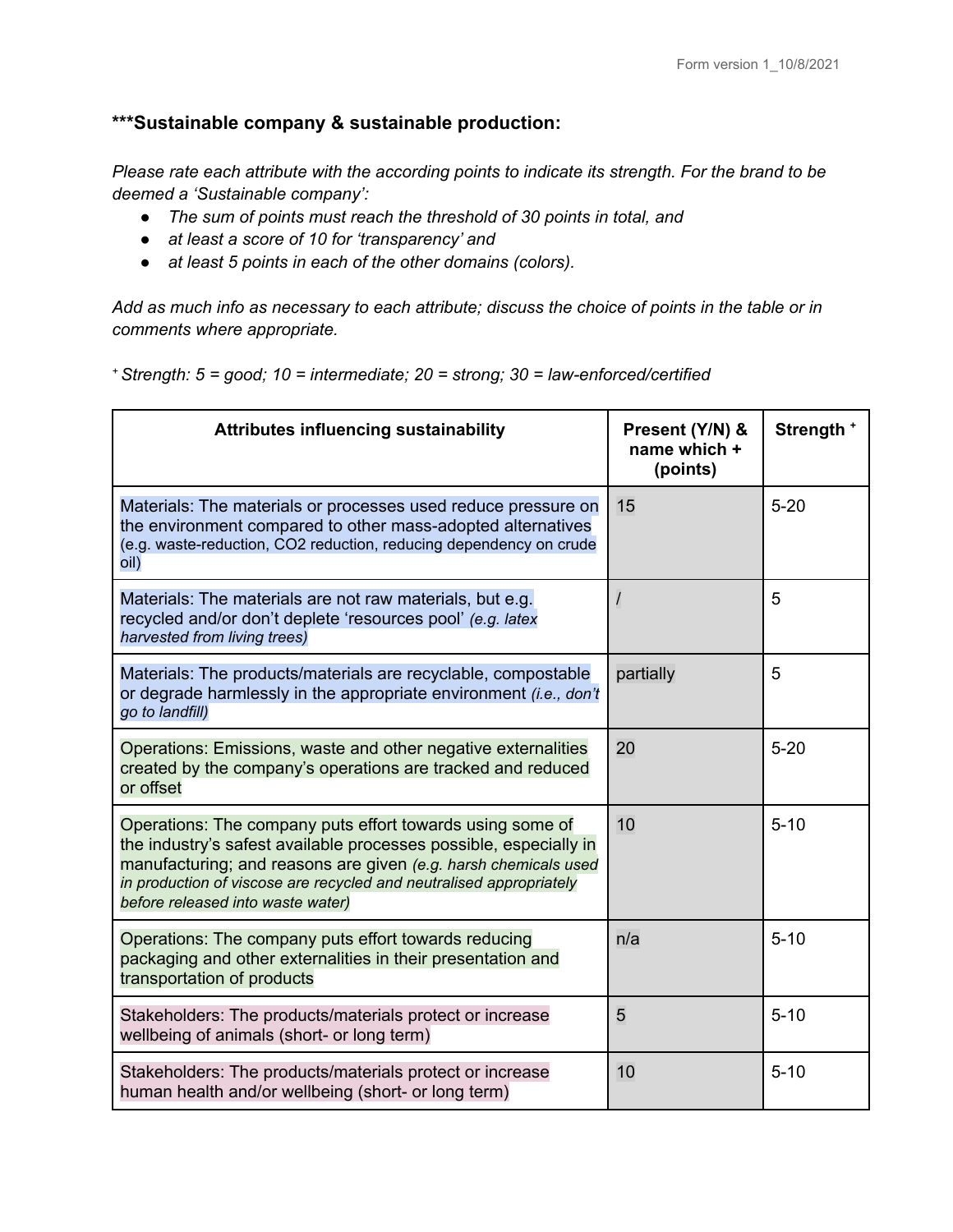## **\*\*\*Sustainable company & sustainable production:**

*Please rate each attribute with the according points to indicate its strength. For the brand to be deemed a 'Sustainable company':*

- *● The sum of points must reach the threshold of 30 points in total, and*
- *● at least a score of 10 for 'transparency' and*
- *● at least 5 points in each of the other domains (colors).*

Add as much info as necessary to each attribute; discuss the choice of points in the table or in *comments where appropriate.*

*<sup>+</sup> Strength: 5 = good; 10 = intermediate; 20 = strong; 30 = law-enforced/certified*

| <b>Attributes influencing sustainability</b>                                                                                                                                                                                                                                                                  | Present (Y/N) &<br>name which +<br>(points) | Strength + |
|---------------------------------------------------------------------------------------------------------------------------------------------------------------------------------------------------------------------------------------------------------------------------------------------------------------|---------------------------------------------|------------|
| Materials: The materials or processes used reduce pressure on<br>the environment compared to other mass-adopted alternatives<br>(e.g. waste-reduction, CO2 reduction, reducing dependency on crude<br>oil)                                                                                                    | 15                                          | $5 - 20$   |
| Materials: The materials are not raw materials, but e.g.<br>recycled and/or don't deplete 'resources pool' (e.g. latex<br>harvested from living trees)                                                                                                                                                        | $\prime$                                    | 5          |
| Materials: The products/materials are recyclable, compostable<br>or degrade harmlessly in the appropriate environment (i.e., don't<br>go to landfill)                                                                                                                                                         | partially                                   | 5          |
| Operations: Emissions, waste and other negative externalities<br>created by the company's operations are tracked and reduced<br>or offset                                                                                                                                                                     | 20                                          | $5 - 20$   |
| Operations: The company puts effort towards using some of<br>the industry's safest available processes possible, especially in<br>manufacturing; and reasons are given (e.g. harsh chemicals used<br>in production of viscose are recycled and neutralised appropriately<br>before released into waste water) | 10                                          | $5 - 10$   |
| Operations: The company puts effort towards reducing<br>packaging and other externalities in their presentation and<br>transportation of products                                                                                                                                                             | n/a                                         | $5 - 10$   |
| Stakeholders: The products/materials protect or increase<br>wellbeing of animals (short- or long term)                                                                                                                                                                                                        | 5                                           | $5 - 10$   |
| Stakeholders: The products/materials protect or increase<br>human health and/or wellbeing (short- or long term)                                                                                                                                                                                               | 10                                          | $5 - 10$   |